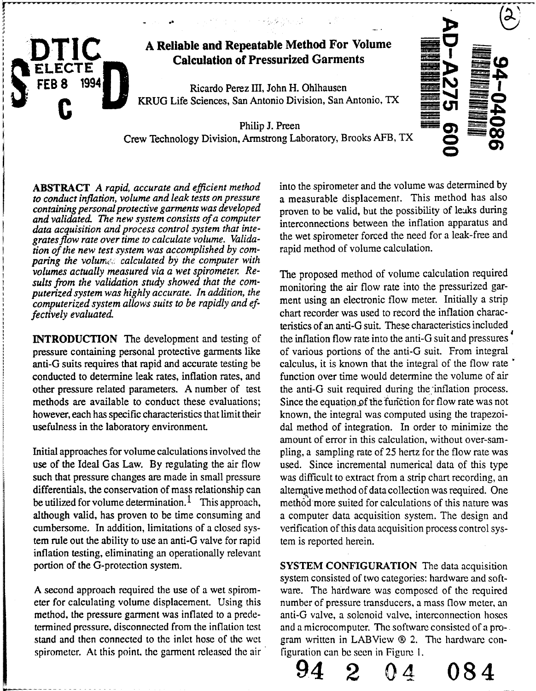

*and validated. The new system consists of a computer tion of the new test system was accomplished by comparing the volumed calculated by the computer with volumes actually measured via a wet spirometer. Resuits from the validation study showed that the comcomputerized system allows suits to be rapidly and effectively evaluated.* 

anti-G suits requires that rapid and accurate testing be conducted to determine leak rates, inflation rates, and function over time would determine the volume of air

cumbersome. In addition, limitations of a closed sys-verification of this data acquisition process control system rule out the ability to use an anti-G valve for rapid tem is reported herein. inflation testing, eliminating an operationally relevant

stand and then connected to the inlet hose of the wet gram written in LABView  $\otimes$  2. The hardware conspirometer. At this point, the garment released the air figuration can be seen in Figure 1.

ABSTRACT A rapid, accurate and efficient method into the spirometer and the volume was determined by to conduct inflation, volume and leak tests on pressure a measurable displacement. This method has also *to conduct inflation, volume and leak tests on pressure* a measurable displacement. This method has also containing personal protective garments was developed represented by valid but the possibility of leaks during *containing personalprotective garments was developed* proven to be valid, but the possibility of leaks during and validated. The new system consists of a computer<br>data acquisition and process control system that inte-<br>grates flow rate over time to calculate volume. Valida-<br>the wet spirometer forced the need for a leak-free and the wet spirometer forced the need for a leak-free and rapid method of volume calculation.

The proposed method of volume calculation required *puterized system was highly accurate. In addition, the monitoring the air flow rate into the pressurized gar-*<br> *computerized system allows suits to be rapidly and ef.* ment using an electronic flow meter. Initially a s *fectively chart recorder was used to record the inflation charac*teristics of an anti-G suit. These characteristics included **INTRODUCTION** The development and testing of the inflation flow rate into the anti-G suit and pressures pressure containing personal protective garments like of various portions of the anti-G suit. From integral anti-G suits requires that rapid and accurate testing be calculus, it is known that the integral of the flow rate other pressure related parameters. A number of test the anti-G suit required during the inflation process. methods are available to conduct these evaluations; Since the equation of the function for flow rate was not however, each has specific characteristics that limit their known, the integral was computed using the trapezoiusefulness in the laboratory environment. dal method of integration. In order to minimize the amount of error in this calculation, without over-sam-Initial approaches for volume calculations involved the pling, a sampling rate of 25 hertz for the flow rate was use of the Ideal Gas Law. By regulating the air flow used. Since incremental numerical data of this type such that pressure changes are made in small pressure was difficult to extract from a strip chart recording, an differentials, the conservation of mass relationship can alternative method of data collection was required. One be utilized for volume determination.<sup>1</sup> This approach, method more suited for calculations of this nature was although valid, has proven to be time consuming and a computer data acquisition system. The design and

portion of the G-protection system. SYSTEM CONFIGURATION The data acquisition system consisted of two categories: hardware and soft-A second approach required the use of a wet spirom- ware. The hardware was composed of the required eter for calculating volume displacement. Using this number of pressure transducers, a mass flow meter, an method, the pressure garment was inflated to a prede- anti-G valve, a solenoid valve, interconnection hoses termined pressure, disconnected from the inflation test and a microcomputer. The software consisted of a pro-

94 2 **04 084**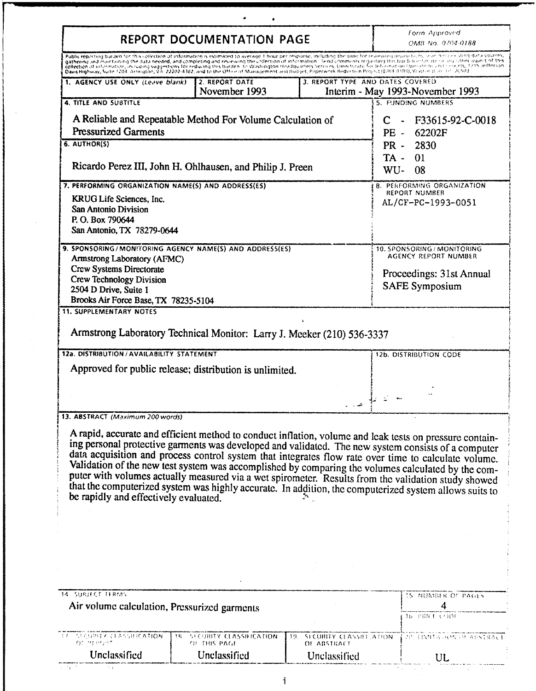|                                                                                                   | <b>REPORT DOCUMENTATION PAGE</b>                                                                                                                                                                                                                                                                                                                                                                                                                                                                                                                                                                                                                                                                                                     |                                                               |                                                                                                                                                                                 | <b>Form Approved</b><br>OMB No. 0704-0188              |  |  |
|---------------------------------------------------------------------------------------------------|--------------------------------------------------------------------------------------------------------------------------------------------------------------------------------------------------------------------------------------------------------------------------------------------------------------------------------------------------------------------------------------------------------------------------------------------------------------------------------------------------------------------------------------------------------------------------------------------------------------------------------------------------------------------------------------------------------------------------------------|---------------------------------------------------------------|---------------------------------------------------------------------------------------------------------------------------------------------------------------------------------|--------------------------------------------------------|--|--|
|                                                                                                   | Public reporting burden for this collection of information is estimated to average 1 hour per response, including the time for reviewing insuracions, searching existing data sources,<br>gathering and maintaining the data needed, and completing and reviewing the collection of information. Send comments requisiting this build needs not any other aspect of this<br>collection of information, including suggestions for reducing this burden, to Washington Headquarters Services, Directorate for Information Operations and Services, 1235 Jefferson.<br>Davis Highway, Suite 1204, Arlington, VA 22202-4302, and to the Office of Management and Budget, Paperwork Reduction Project (0704-0188), Washen it in 101-20503 |                                                               |                                                                                                                                                                                 |                                                        |  |  |
| 1. AGENCY USE ONLY (Leave blank)                                                                  | 2. REPORT DATE<br>November 1993                                                                                                                                                                                                                                                                                                                                                                                                                                                                                                                                                                                                                                                                                                      | 3. REPORT TYPE AND DATES COVERED                              |                                                                                                                                                                                 | Interim - May 1993-November 1993                       |  |  |
| 4. TITLE AND SUBTITLE                                                                             |                                                                                                                                                                                                                                                                                                                                                                                                                                                                                                                                                                                                                                                                                                                                      |                                                               |                                                                                                                                                                                 | 5. FUNDING NUMBERS                                     |  |  |
| A Reliable and Repeatable Method For Volume Calculation of<br><b>Pressurized Garments</b>         |                                                                                                                                                                                                                                                                                                                                                                                                                                                                                                                                                                                                                                                                                                                                      |                                                               | C.                                                                                                                                                                              | F33615-92-C-0018<br>$\blacksquare$<br>$PE -$<br>62202F |  |  |
| 6. AUTHOR(S)                                                                                      |                                                                                                                                                                                                                                                                                                                                                                                                                                                                                                                                                                                                                                                                                                                                      |                                                               | $PR -$                                                                                                                                                                          | 2830                                                   |  |  |
| Ricardo Perez III, John H. Ohlhausen, and Philip J. Preen                                         |                                                                                                                                                                                                                                                                                                                                                                                                                                                                                                                                                                                                                                                                                                                                      |                                                               | TA -<br>WU-                                                                                                                                                                     | 01<br>08                                               |  |  |
| 7. PERFORMING ORGANIZATION NAME(S) AND ADDRESS(ES)                                                |                                                                                                                                                                                                                                                                                                                                                                                                                                                                                                                                                                                                                                                                                                                                      |                                                               |                                                                                                                                                                                 | 8. PERFORMING ORGANIZATION<br><b>REPORT NUMBER</b>     |  |  |
| KRUG Life Sciences, Inc.<br>San Antonio Division<br>P.O. Box 790644<br>San Antonio, TX 78279-0644 |                                                                                                                                                                                                                                                                                                                                                                                                                                                                                                                                                                                                                                                                                                                                      |                                                               |                                                                                                                                                                                 | AL/CF-PC-1993-0051                                     |  |  |
|                                                                                                   | 9. SPONSORING/MONITORING AGENCY NAME(S) AND ADDRESS(ES)                                                                                                                                                                                                                                                                                                                                                                                                                                                                                                                                                                                                                                                                              |                                                               |                                                                                                                                                                                 | 10. SPONSORING / MONITORING<br>AGENCY REPORT NUMBER    |  |  |
| Armstrong Laboratory (AFMC)<br>Crew Systems Directorate                                           |                                                                                                                                                                                                                                                                                                                                                                                                                                                                                                                                                                                                                                                                                                                                      |                                                               |                                                                                                                                                                                 |                                                        |  |  |
| <b>Crew Technology Division</b>                                                                   |                                                                                                                                                                                                                                                                                                                                                                                                                                                                                                                                                                                                                                                                                                                                      |                                                               |                                                                                                                                                                                 | Proceedings: 31st Annual<br><b>SAFE Symposium</b>      |  |  |
| 2504 D Drive, Suite 1                                                                             |                                                                                                                                                                                                                                                                                                                                                                                                                                                                                                                                                                                                                                                                                                                                      |                                                               |                                                                                                                                                                                 |                                                        |  |  |
|                                                                                                   |                                                                                                                                                                                                                                                                                                                                                                                                                                                                                                                                                                                                                                                                                                                                      |                                                               |                                                                                                                                                                                 |                                                        |  |  |
| Brooks Air Force Base, TX 78235-5104<br><b>11. SUPPLEMENTARY NOTES</b>                            | Armstrong Laboratory Technical Monitor: Larry J. Meeker (210) 536-3337                                                                                                                                                                                                                                                                                                                                                                                                                                                                                                                                                                                                                                                               |                                                               |                                                                                                                                                                                 |                                                        |  |  |
| 12a. DISTRIBUTION / AVAILABILITY STATEMENT                                                        | Approved for public release; distribution is unlimited.                                                                                                                                                                                                                                                                                                                                                                                                                                                                                                                                                                                                                                                                              |                                                               |                                                                                                                                                                                 | 12b. DISTRIBUTION CODE                                 |  |  |
|                                                                                                   |                                                                                                                                                                                                                                                                                                                                                                                                                                                                                                                                                                                                                                                                                                                                      |                                                               |                                                                                                                                                                                 |                                                        |  |  |
| 13. ABSTRACT (Maximum 200 words)                                                                  |                                                                                                                                                                                                                                                                                                                                                                                                                                                                                                                                                                                                                                                                                                                                      |                                                               | $\begin{aligned} \mathcal{L}_{\text{max}} = \frac{1}{2} \sum_{i=1}^{n} \mathcal{L}_{\text{max}} \left[ \mathcal{L}_{\text{max}} \right] \mathcal{L}_{\text{max}} \end{aligned}$ |                                                        |  |  |
| be rapidly and effectively evaluated.                                                             | A rapid, accurate and efficient method to conduct inflation, volume and leak tests on pressure contain-<br>ing personal protective garments was developed and validated. The new system consists of a computer<br>data acquisition and process control system that integrates flow rate over time to calculate volume.<br>Validation of the new test system was accomplished by comparing the volumes calculated by the com-<br>puter with volumes actually measured via a wet spirometer. Results from the validation study showed<br>that the computerized system was highly accurate. In addition, the computerized system allows suits to                                                                                        |                                                               |                                                                                                                                                                                 |                                                        |  |  |
|                                                                                                   |                                                                                                                                                                                                                                                                                                                                                                                                                                                                                                                                                                                                                                                                                                                                      |                                                               |                                                                                                                                                                                 |                                                        |  |  |
|                                                                                                   |                                                                                                                                                                                                                                                                                                                                                                                                                                                                                                                                                                                                                                                                                                                                      |                                                               |                                                                                                                                                                                 |                                                        |  |  |
|                                                                                                   |                                                                                                                                                                                                                                                                                                                                                                                                                                                                                                                                                                                                                                                                                                                                      |                                                               |                                                                                                                                                                                 | 15 NUMBER OF PAGES                                     |  |  |
| Air volume calculation, Pressurized garments                                                      |                                                                                                                                                                                                                                                                                                                                                                                                                                                                                                                                                                                                                                                                                                                                      |                                                               |                                                                                                                                                                                 | 4<br>手長 宇宙兵士 くろわれ                                      |  |  |
| <b>14 SUBJECT TERMS</b><br>EZ SECUPITZ CLASSIFICATION<br>OC MERGAT<br>Unclassified                | 当片<br><b>SECURITY CLASSIFICATION</b><br>OF THIS PAGE<br>Unclassified                                                                                                                                                                                                                                                                                                                                                                                                                                                                                                                                                                                                                                                                 | 19.<br>SLCURITY CLASSIFICATION<br>OF ABSTRACT<br>Unclassified |                                                                                                                                                                                 | I 20. UNDER HON OF ABSTRACT                            |  |  |

 $\mathbf{i}$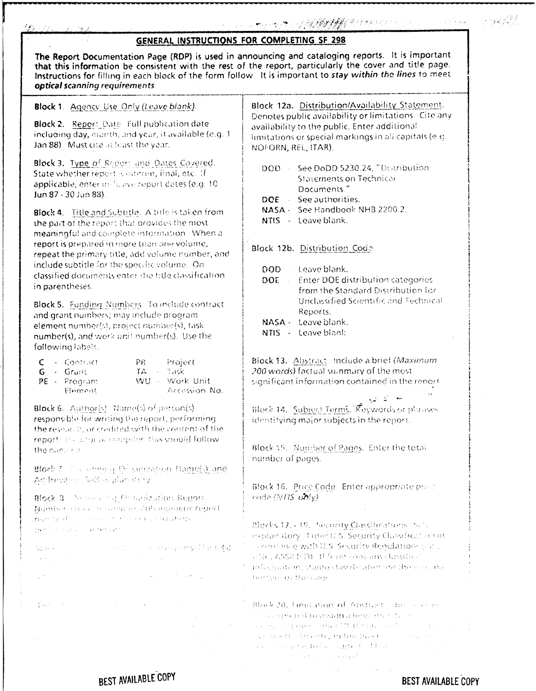### $\mathcal{F}_{\mathcal{A}}$  :

| GENERAL INSTRUCTIONS FOR COMPLETING SF 298                                                                                                                                                                                                                                                                                                                    |                                                                                                                                                                                                                                  |  |  |  |
|---------------------------------------------------------------------------------------------------------------------------------------------------------------------------------------------------------------------------------------------------------------------------------------------------------------------------------------------------------------|----------------------------------------------------------------------------------------------------------------------------------------------------------------------------------------------------------------------------------|--|--|--|
| The Report Documentation Page (RDP) is used in announcing and cataloging reports. It is important<br>that this information be consistent with the rest of the report, particularly the cover and title page.<br>Instructions for filling in each block of the form follow. It is important to stay within the lines to meet<br>optical scanning requirements. |                                                                                                                                                                                                                                  |  |  |  |
| <b>Block 1.</b> Agency Use Only (Leave blank).                                                                                                                                                                                                                                                                                                                | Block 12a. Distribution/Availability Statement.                                                                                                                                                                                  |  |  |  |
| Block 2. Report Date. Full publication date<br>including day, nionth, and year, it available (e.g. 1<br>Jan 88). Must cite at least the year.                                                                                                                                                                                                                 | Denotes public availability or limitations. Cite any<br>availability to the public. Enter additional<br>limitations or special markings in all capitals (e.g.<br>NOFORN, REL, ITAR).                                             |  |  |  |
| Block 3. Type of Report and Dates Covered.<br>State whether report is interim, final, etc. If<br>applicable, enter in fusive report dates (e.g. 10<br>Jun 87 - 30 Jun 88).                                                                                                                                                                                    | DOD - See DoDD 5230.24, "Distribution<br>Statements on Technical<br>Documents."<br>DOE - See authorities.<br>NASA - See Handbook NHB 2200.2.                                                                                     |  |  |  |
| Block 4. Title and Subtitle. A title is taken from<br>the part of the report that provides the most<br>meaningful and complete information. When a                                                                                                                                                                                                            | NTIS - Leave blank.                                                                                                                                                                                                              |  |  |  |
| report is prepared in more than one volume,<br>repeat the primary title, add volume number, and                                                                                                                                                                                                                                                               | Block 12b. Distribution Code                                                                                                                                                                                                     |  |  |  |
| include subtitle for the specific volume. On<br>classified documents enter the title classification.<br>in parentheses.                                                                                                                                                                                                                                       | DOD Leave blank.<br>Enter DOE distribution categories<br><b>DOE</b><br>from the Standard Distribution for                                                                                                                        |  |  |  |
| Block 5. Funding Numbers To include contract<br>and grant numbers; may include program<br>element number(s), project number(s), task<br>number(s), and work unit number(s). Use the<br>following labels.                                                                                                                                                      | Unclassified Scientific and Technical<br>Reports.<br>NASA - Leave blank.<br>NTIS - Leave blank                                                                                                                                   |  |  |  |
| Project<br>$C =$ Contract<br>$PR$ .<br>TA - Task<br>- Grant<br>G.<br>WU - Work Unit<br>PE - Program<br>Accession No.<br>Element                                                                                                                                                                                                                               | Block 13. Abstract. Include a brief (Maximum<br>200 words) factual summary of the most<br>significant information contained in the report                                                                                        |  |  |  |
| Black 6. Author(s) Name(s) of person(s)<br>responsible for writing the report, performing<br>the research, or credited with the content of the                                                                                                                                                                                                                | Block 14. Subject Terms. Keywords of phrases<br>identifying major subjects in the report.                                                                                                                                        |  |  |  |
| report. If a nior or compiler, this should follow<br>the name (s)                                                                                                                                                                                                                                                                                             | Block 15. Number of Pages. Enter the total<br>number of pages.                                                                                                                                                                   |  |  |  |
| Block J. The certifical Originization Name(s) and                                                                                                                                                                                                                                                                                                             |                                                                                                                                                                                                                                  |  |  |  |
| Address(es) Self-englan itery<br>Block 3 Person eng. Or progration Report-<br>Number and a descriptional phonon entity port                                                                                                                                                                                                                                   | Block 16. Price Code. Enter appropriate prace<br>rode (NTIS only)                                                                                                                                                                |  |  |  |
| my mind of community the experimental<br>garethic contraction at ratio and                                                                                                                                                                                                                                                                                    | Blocks 12, - 19, Security Classifications (Self                                                                                                                                                                                  |  |  |  |
| and the company that to prove<br>Store k<br>$\mathcal{A}(\mathcal{A}_1)$ . The contribution of the contribution of the contribution of $\mathcal{A}_1$                                                                                                                                                                                                        | explanatory. There U.S. Security Classification in<br>condance with U.S. Security Regulation (e.d.)<br>and (ASSEED). If form contains classified                                                                                 |  |  |  |
| $\mathcal{L}_{\mathcal{A}}$ and the contribution of the space of the space of the space of the space of the space of the space of the space of the space of the space of the space of the space of the space of the space of the space of<br>$\mathcal{L}(\mathcal{F}_\mathcal{L})$                                                                           | [ information, stamp classification on the visional<br>bothem of fire sage                                                                                                                                                       |  |  |  |
| $\sim 10^{10}$ .<br>$37.11 - 10$<br>$\mathcal{L}^{\mathcal{L}}$ and the contribution of the contribution of the contribution of the contribution of                                                                                                                                                                                                           | $\sim$ Block 20, 1 mitation of Abstract since even                                                                                                                                                                               |  |  |  |
| and the same states of                                                                                                                                                                                                                                                                                                                                        | The completed to adaptivities that the con-                                                                                                                                                                                      |  |  |  |
|                                                                                                                                                                                                                                                                                                                                                               | $\alpha$ , and the constant of the second problem is sufficiently in the second part of the second part of the second part of the second part of the second part of the second part of the second part of the second part of the |  |  |  |

BEST AVAILABLE COPY

**BEST AVAILABLE COPY**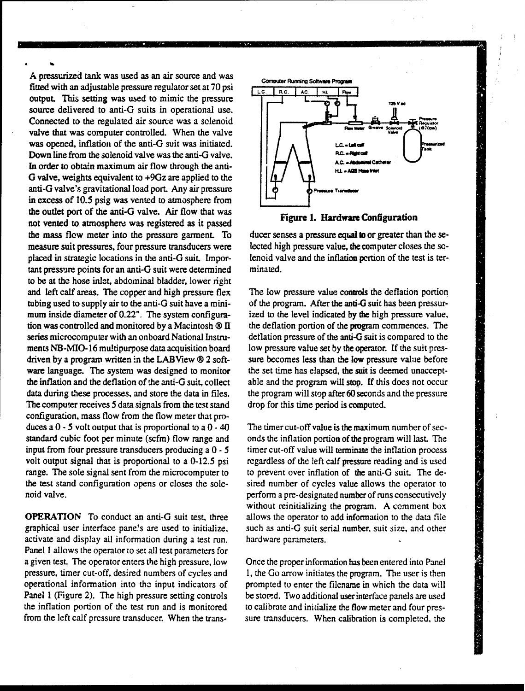*A* pressurized tank was used as an air source and was **fitted with an adjustable pressure regulator set at 70 psi Legion Running Software Program** output. This setting was used to mimic the pressure source delivered to anti-G suits in operational use. Connected to the regulated air source was a solenoid valve that was computer controlled. When the valve was opened, inflation of the anti-G suit was initiated. Down line from the solenoid valve was the anti-G valve.  $\left|\left|\right| \right|$ In order to obtain maximum air flow through the anti-  $\left| \int_{\mathbb{R}} \int_{\mathbb{R}} \int_{\mathbb{R}} dx$ G valve, weights equivalent to +9Gz are applied to the anti-G valve's gravitational load port. Any air pressure  $\|\phi\|_0$ <sup>pressure</sup> in excess of 10.5 psig was vented to atmosphere from the outlet port of the anti-G valve. Air flow that was Figure **1.** Hardware Configuration not vented to atmosphere was registered as it passed the mass flow meter into the pressure garment. To ducer senses a pressure equal to or greater than the semeasure suit pressures, four pressure transducers were lected high pressure value, the computer closes the soplaced in strategic locations in the anti-G suit. Impor- lenoid valve and the inflation portion of the test is tertant pressure points for an anti-G suit were determined minated. to be at the hose inlet, abdominal bladder, lower right and left calf areas. The copper and high pressure flex The low pressure value controls the deflation portion tubing used to supply air to the anti-G suit have a mini-<br>
of the program. After the anti-G suit has been pressurmum inside diameter of 0.22". The system configura- ized to the level indicated by the high pressure value, tion was controlled and monitored by a Macintosh ® **11** the deflation portion of the program commences. The series microcomputer with an onboard National Instru-<br>deflation pressure of the anti-G suit is compared to the ments NB-MIO-16 multipurpose data acquisition board low pressure value set by the operator. If the suit presdriven by a program written in the LABView  $\otimes$  2 soft-sure becomes less than the low pressure value before ware language. The system was designed to monitor the set time has elapsed, the suit is deemed unacceptthe inflation and the deflation of the anti-G suit, collect able and the program will stop. If this does not occur data during these processes, and store the data in files, the program will stop after 60 seconds and the pressure The computer receives 5 data signals from the test stand drop for this time period is computed. configuration, mass flow from the flow meter that produces a  $0 - 5$  volt output that is proportional to a  $0 - 40$  The timer cut-off value is the maximum number of secstandard cubic foot per minute (scfm) flow range and onds the inflation portion of the program will last. The input from four pressure transducers producing a 0 - *5* timer cut-off value will terminate the inflation process volt output signal that is proportional to a 0-12.5 psi regardless of the left calf pressure reading and is used range. The sole signal sent from the microcomputer to to prevent over inflation of the anti-G suit. The dethe test stand configuration opens or closes the sole- sired number of cycles value allows the operator to noid valve. **perform** a pre-designated number of runs consecutively

graphical user interface pane!s are used to initialize, such as anti-G suit serial number, suit size, and other activate and display all information during a test run. hardware parameters. Panel I allows the operator to set all test parameters for a given test. The operator enters the high pressure, low Once the proper information has been entered into Panel pressure, timer cut-off, desired numbers of cycles and 1, the Go arrow initiates the program. The user is then operational information into the input indicators of prompted to enter the filename in which the data will Panel 1 (Figure 2). The high pressure setting controls be stored. Two additional user interface panels are used the inflation portion of the test run and is monitored to calibrate and initialize the flow meter and four pres-





without reinitializing the program. A comment box OPERATION To conduct an anti-G suit test, three allows the operator to add information to the data file

from the left calf pressure transducer. When the trans- sure transducers. When calibration is completed, the

1999年1月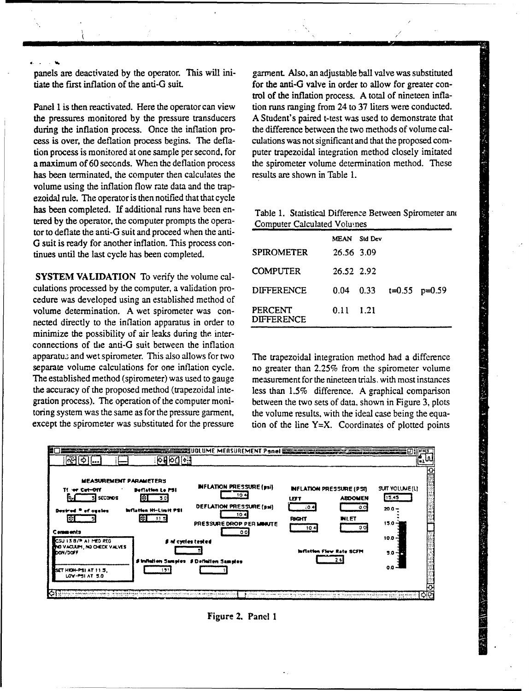panels are deactivated by the operator. This will ini- garment. Also, an adjustable ball valve was substituted tiate the first inflation of the anti-G suit. for the anti-G valve in order to allow for greater con-

the pressures monitored by the pressure transducers A Student's paired t-test was used to demonstrate that during the inflation process. Once the inflation pro-<br>the difference between the two methods of volume calcess is over, the deflation process begins. The defla- culations was not significant and that the proposed comtion process is monitored at one sample per second, for puter trapezoidal integration method closely imitated a maximum of 60 seconds. When the deflation process the spirometer volume determination method. These has been terminated, the computer then calculates the results are shown in Table 1. volume using the inflation flow rate data and the trapezoidal rule. The operator is then notified that that cycle has been completed. If additional runs have been entered by the operator, the computer prompts the operator to deflate the anti-G suit and proceed when the anti-G suit is ready for another inflation. This process continues until the last cycle has been completed.

**SYSTEM VALIDATION** To verify the volume calculations processed by the computer, a validation procedure was developed using an established method of volume determination. A wet spirometer was connected directly to the inflation apparatus in order to minimize the possibility of air leaks during the interconnections of tie anti-G suit between the inflation apparatus and wet spirometer. This also allows for two The trapezoidal integration method had a difference separate volume calculations for one inflation cycle. no greater than 2.25% from the spirometer volume The established method (spirometer) was used to gauge measurement for the nineteen trials. with most instances the accuracy of the proposed method (trapezoidal inte- less than 1.5% difference. A graphical comparison gration process). The operation of the computer moni- between the two sets of data, shown in Figure 3, plots toring system was the same as for the pressure garment, the volume results, with the ideal case being the equa-

trol of the inflation process. A total of nineteen infla-Panel 1 is then reactivated. Here the operator can view tion runs ranging from 24 to 37 liters were conducted.

|  |                             | Table 1. Statistical Difference Between Spirometer and |  |
|--|-----------------------------|--------------------------------------------------------|--|
|  | Computer Calculated Volumes |                                                        |  |

|                              | MEAN Std Dev      |                           |  |
|------------------------------|-------------------|---------------------------|--|
| <b>SPIROMETER</b>            | 26.56 3.09        |                           |  |
| <b>COMPUTER</b>              | 26.52 2.92        |                           |  |
| <b>DIFFERENCE</b>            |                   | 0.04 0.33 $t=0.55$ p=0.59 |  |
| PERCENT<br><b>DIFFERENCE</b> | $0.11 \quad 1.21$ |                           |  |

except the spirometer was substituted for the pressure tion of the line  $Y=X$ . Coordinates of plotted points



Figure 2. Panel I